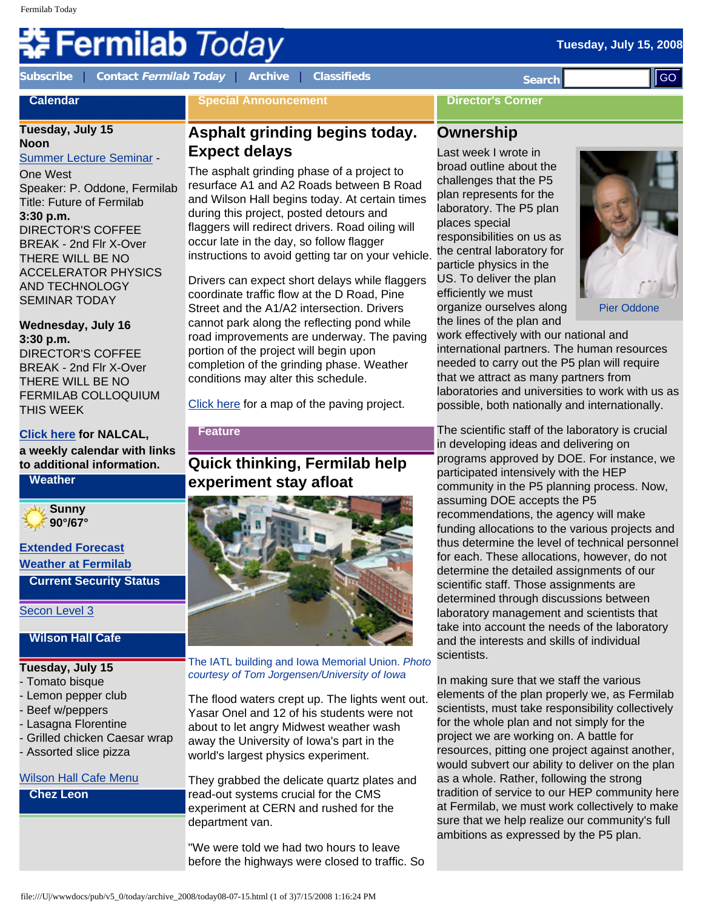#### **Tuesday, July 15, 2008**

# Fermilab *Today*

**Calendar**

**[Subscribe](http://www.fnal.gov/pub/today/subscription.html)** | **Contact [Fermilab Today](mailto:today@fnal.gov)** | **[Archive](http://www.fnal.gov/pub/today/archive.html)** | **[Classifieds](http://www.fnal.gov/pub/today/classifieds.html) Search** 

**Special Announcement**

#### **Director's Corner**

# **Tuesday, July 15**

**Noon** [Summer Lecture Seminar](http://sist.fnal.gov/lectures.html) - One West Speaker: P. Oddone, Fermilab Title: Future of Fermilab **3:30 p.m.** DIRECTOR'S COFFEE BREAK - 2nd Flr X-Over THERE WILL BE NO ACCELERATOR PHYSICS AND TECHNOLOGY

### **Wednesday, July 16 3:30 p.m.**

SEMINAR TODAY

DIRECTOR'S COFFEE BREAK - 2nd Flr X-Over THERE WILL BE NO FERMILAB COLLOQUIUM THIS WEEK

#### **[Click here](http://www.fnal.gov/directorate/nalcal/nalcal07_14_08.html) for NALCAL, a weekly calendar with links to additional information.**

**Weather**



#### **[Extended Forecast](http://forecast.weather.gov/MapClick.php?CityName=Batavia&state=IL&site=LOT&textField1=41.8506&textField2=-88.3004) [Weather at Fermilab](http://www-esh.fnal.gov/pls/default/weather.html)**

**Current Security Status**

[Secon Level 3](http://www.fnal.gov/pub/about/public_affairs/currentstatus.html)

#### **Wilson Hall Cafe**

#### **Tuesday, July 15**

- Tomato bisque
- Lemon pepper club
- Beef w/peppers
- Lasagna Florentine
- Grilled chicken Caesar wrap
- Assorted slice pizza

#### [Wilson Hall Cafe Menu](http://bss.fnal.gov/cafe/index.html)

**Chez Leon**

# **Asphalt grinding begins today. Expect delays**

The asphalt grinding phase of a project to resurface A1 and A2 Roads between B Road and Wilson Hall begins today. At certain times during this project, posted detours and flaggers will redirect drivers. Road oiling will occur late in the day, so follow flagger instructions to avoid getting tar on your vehicle.

Drivers can expect short delays while flaggers coordinate traffic flow at the D Road, Pine Street and the A1/A2 intersection. Drivers cannot park along the reflecting pond while road improvements are underway. The paving portion of the project will begin upon completion of the grinding phase. Weather conditions may alter this schedule.

[Click here](http://www.fnal.gov/pub/today/images08/A1A2pavingmap072008.jpg) for a map of the paving project.

#### **Feature**

# **Quick thinking, Fermilab help experiment stay afloat**



The IATL building and Iowa Memorial Union. *Photo courtesy of Tom Jorgensen/University of Iowa*

The flood waters crept up. The lights went out. Yasar Onel and 12 of his students were not about to let angry Midwest weather wash away the University of Iowa's part in the world's largest physics experiment.

They grabbed the delicate quartz plates and read-out systems crucial for the CMS experiment at CERN and rushed for the department van.

"We were told we had two hours to leave before the highways were closed to traffic. So

# **Ownership**

Last week I wrote in broad outline about the challenges that the P5 plan represents for the laboratory. The P5 plan places special responsibilities on us as the central laboratory for particle physics in the US. To deliver the plan efficiently we must organize ourselves along the lines of the plan and



Pier Oddone

work effectively with our national and international partners. The human resources needed to carry out the P5 plan will require that we attract as many partners from laboratories and universities to work with us as possible, both nationally and internationally.

The scientific staff of the laboratory is crucial in developing ideas and delivering on programs approved by DOE. For instance, we participated intensively with the HEP community in the P5 planning process. Now, assuming DOE accepts the P5 recommendations, the agency will make funding allocations to the various projects and thus determine the level of technical personnel for each. These allocations, however, do not determine the detailed assignments of our scientific staff. Those assignments are determined through discussions between laboratory management and scientists that take into account the needs of the laboratory and the interests and skills of individual scientists. Columbus 1993 - and the state of 200 minimization of 200 minimization of 200 minimization of 200 minimization of 200 minimization of 200 minimization of 200 minimization of 200 minimization of 200 minimization of 200 mini

In making sure that we staff the various elements of the plan properly we, as Fermilab scientists, must take responsibility collectively for the whole plan and not simply for the project we are working on. A battle for resources, pitting one project against another, would subvert our ability to deliver on the plan as a whole. Rather, following the strong tradition of service to our HEP community here at Fermilab, we must work collectively to make sure that we help realize our community's full ambitions as expressed by the P5 plan.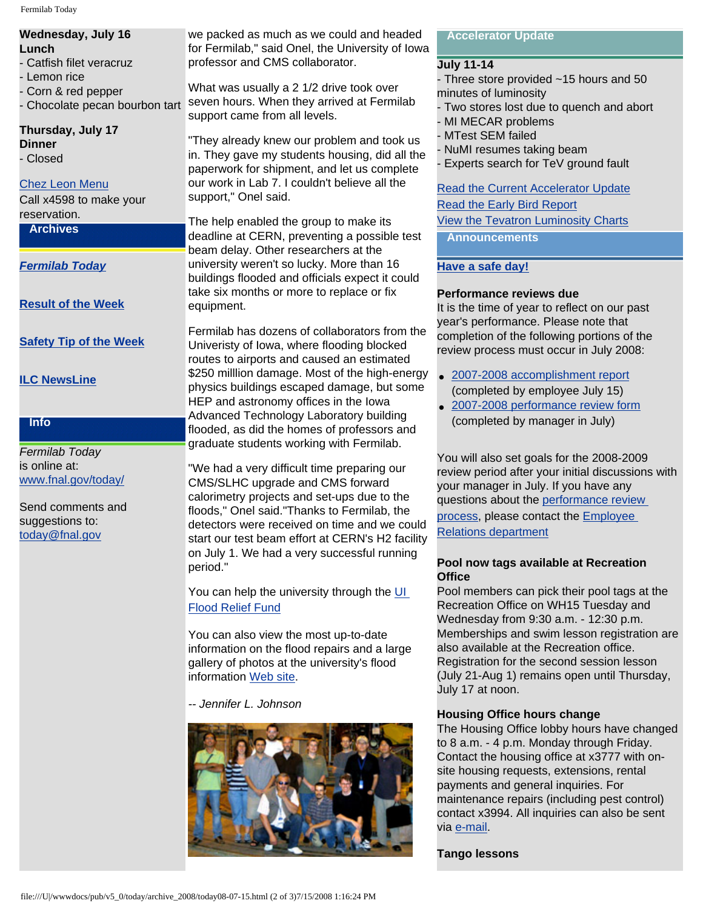Fermilab Today

#### **Wednesday, July 16 Lunch** - Catfish filet veracruz - Lemon rice - Corn & red pepper - Chocolate pecan bourbon tart

**Thursday, July 17 Dinner**

- Closed

## [Chez Leon Menu](http://bss.fnal.gov/chezleon/index.html)

Call x4598 to make your reservation.

**Archives**

*[Fermilab Today](http://www.fnal.gov/pub/today/archive.html)*

**[Result of the Week](http://www.fnal.gov/pub/today/resultoftheweek/index.html)**

# **[Safety Tip of the Week](http://www.fnal.gov/pub/today/safety/)**

# **[ILC NewsLine](http://www.linearcollider.org/newsline/archive/index.html)**

# **Info**

*Fermilab Today* is online at: [www.fnal.gov/today/](http://www.fnal.gov/today/)

Send comments and suggestions to: [today@fnal.gov](mailto:today@fnal.gov)

we packed as much as we could and headed for Fermilab," said Onel, the University of Iowa professor and CMS collaborator.

What was usually a 2 1/2 drive took over seven hours. When they arrived at Fermilab support came from all levels.

"They already knew our problem and took us in. They gave my students housing, did all the paperwork for shipment, and let us complete our work in Lab 7. I couldn't believe all the support," Onel said.

The help enabled the group to make its deadline at CERN, preventing a possible test beam delay. Other researchers at the university weren't so lucky. More than 16 buildings flooded and officials expect it could take six months or more to replace or fix equipment.

Fermilab has dozens of collaborators from the Univeristy of Iowa, where flooding blocked routes to airports and caused an estimated \$250 milllion damage. Most of the high-energy physics buildings escaped damage, but some HEP and astronomy offices in the Iowa Advanced Technology Laboratory building flooded, as did the homes of professors and graduate students working with Fermilab.

"We had a very difficult time preparing our CMS/SLHC upgrade and CMS forward calorimetry projects and set-ups due to the floods," Onel said."Thanks to Fermilab, the detectors were received on time and we could start our test beam effort at CERN's H2 facility on July 1. We had a very successful running period."

You can help the university through the [UI](http://www.givetoiowa.org/2008unez8/)  [Flood Relief Fund](http://www.givetoiowa.org/2008unez8/)

You can also view the most up-to-date information on the flood repairs and a large gallery of photos at the university's flood information [Web site](http://uiflood.blogspot.com/).

*-- Jennifer L. Johnson*



#### **Accelerator Update**

#### **July 11-14**

- Three store provided ~15 hours and 50 minutes of luminosity

- Two stores lost due to quench and abort
- MI MECAR problems
- MTest SEM failed
- NuMI resumes taking beam

Experts search for TeV ground fault

[Read the Current Accelerator Update](http://www.fnal.gov/pub/news08/update.html) [Read the Early Bird Report](http://www-bd.fnal.gov/earlybird/ebird.html) [View the Tevatron Luminosity Charts](http://www.fnal.gov/pub/now/tevlum.html)

**Announcements**

# **[Have a safe day!](http://www.fnal.gov/pub/about/safety/profiles.html)**

## **Performance reviews due**

It is the time of year to reflect on our past year's performance. Please note that completion of the following portions of the review process must occur in July 2008:

- [2007-2008 accomplishment report](http://wdrs.fnal.gov/elr/employee_ar_04.doc) (completed by employee July 15)
- [2007-2008 performance review form](http://wdrs.fnal.gov/elr/perfrev_07.doc) (completed by manager in July)

You will also set goals for the 2008-2009 review period after your initial discussions with your manager in July. If you have any questions about the [performance review](http://wdrs.fnal.gov/elr/perform_rev.html) [process,](http://wdrs.fnal.gov/elr/perform_rev.html) please contact the [Employee](http://wdrs.fnal.gov/elr/org_chart.html) [Relations department](http://wdrs.fnal.gov/elr/org_chart.html)

#### **Pool now tags available at Recreation Office**

Pool members can pick their pool tags at the Recreation Office on WH15 Tuesday and Wednesday from 9:30 a.m. - 12:30 p.m. Memberships and swim lesson registration are also available at the Recreation office. Registration for the second session lesson (July 21-Aug 1) remains open until Thursday, July 17 at noon.

# **Housing Office hours change**

The Housing Office lobby hours have changed to 8 a.m. - 4 p.m. Monday through Friday. Contact the housing office at x3777 with onsite housing requests, extensions, rental payments and general inquiries. For maintenance repairs (including pest control) contact x3994. All inquiries can also be sent via [e-mail](mailto:housing@fnal.gov).

#### **Tango lessons**